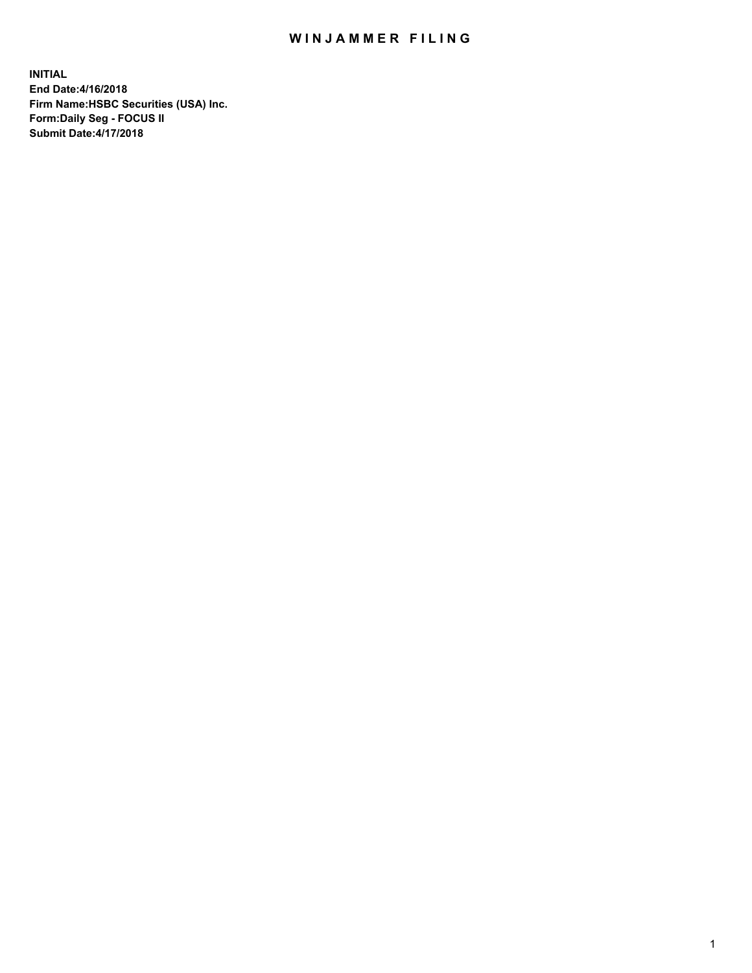## WIN JAMMER FILING

**INITIAL End Date:4/16/2018 Firm Name:HSBC Securities (USA) Inc. Form:Daily Seg - FOCUS II Submit Date:4/17/2018**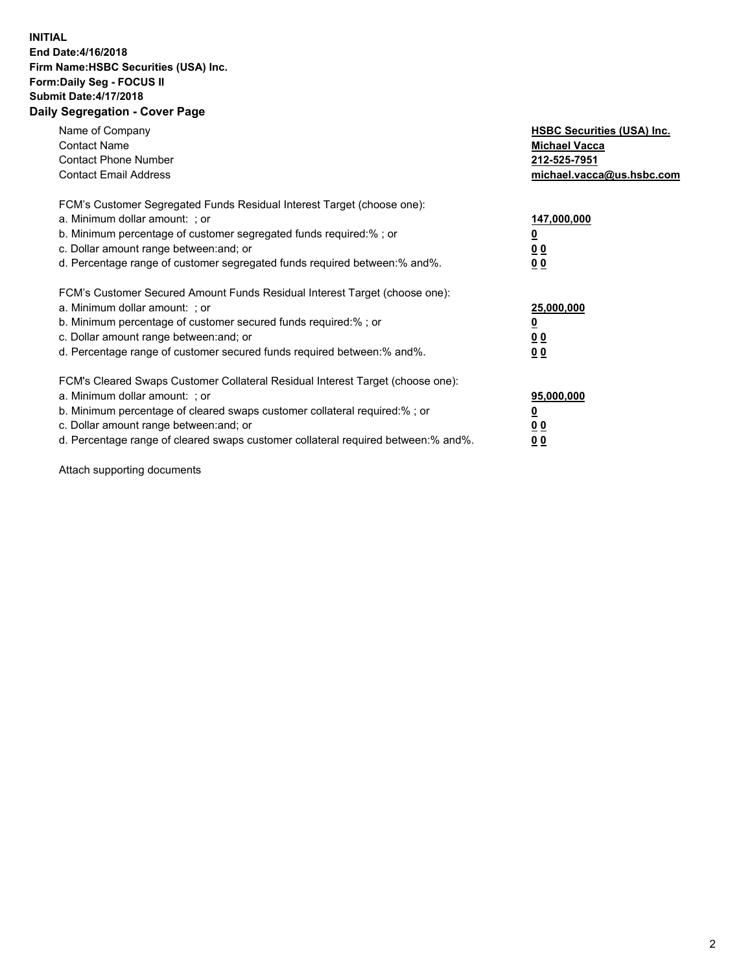## **INITIAL End Date:4/16/2018 Firm Name:HSBC Securities (USA) Inc. Form:Daily Seg - FOCUS II Submit Date:4/17/2018 Daily Segregation - Cover Page**

| Name of Company<br><b>Contact Name</b><br><b>Contact Phone Number</b><br><b>Contact Email Address</b>                                                                                                                                                                                                                         | <b>HSBC Securities (USA) Inc.</b><br><b>Michael Vacca</b><br>212-525-7951<br>michael.vacca@us.hsbc.com |
|-------------------------------------------------------------------------------------------------------------------------------------------------------------------------------------------------------------------------------------------------------------------------------------------------------------------------------|--------------------------------------------------------------------------------------------------------|
| FCM's Customer Segregated Funds Residual Interest Target (choose one):<br>a. Minimum dollar amount: ; or<br>b. Minimum percentage of customer segregated funds required:%; or<br>c. Dollar amount range between: and; or<br>d. Percentage range of customer segregated funds required between: % and %.                       | 147,000,000<br><u>0</u><br><u>00</u><br>00                                                             |
| FCM's Customer Secured Amount Funds Residual Interest Target (choose one):<br>a. Minimum dollar amount: ; or<br>b. Minimum percentage of customer secured funds required:%; or<br>c. Dollar amount range between: and; or<br>d. Percentage range of customer secured funds required between: % and %.                         | 25,000,000<br><u>0</u><br><u>00</u><br>00                                                              |
| FCM's Cleared Swaps Customer Collateral Residual Interest Target (choose one):<br>a. Minimum dollar amount: ; or<br>b. Minimum percentage of cleared swaps customer collateral required:%; or<br>c. Dollar amount range between: and; or<br>d. Percentage range of cleared swaps customer collateral required between:% and%. | 95,000,000<br><u>0</u><br><u>00</u><br><u>00</u>                                                       |

Attach supporting documents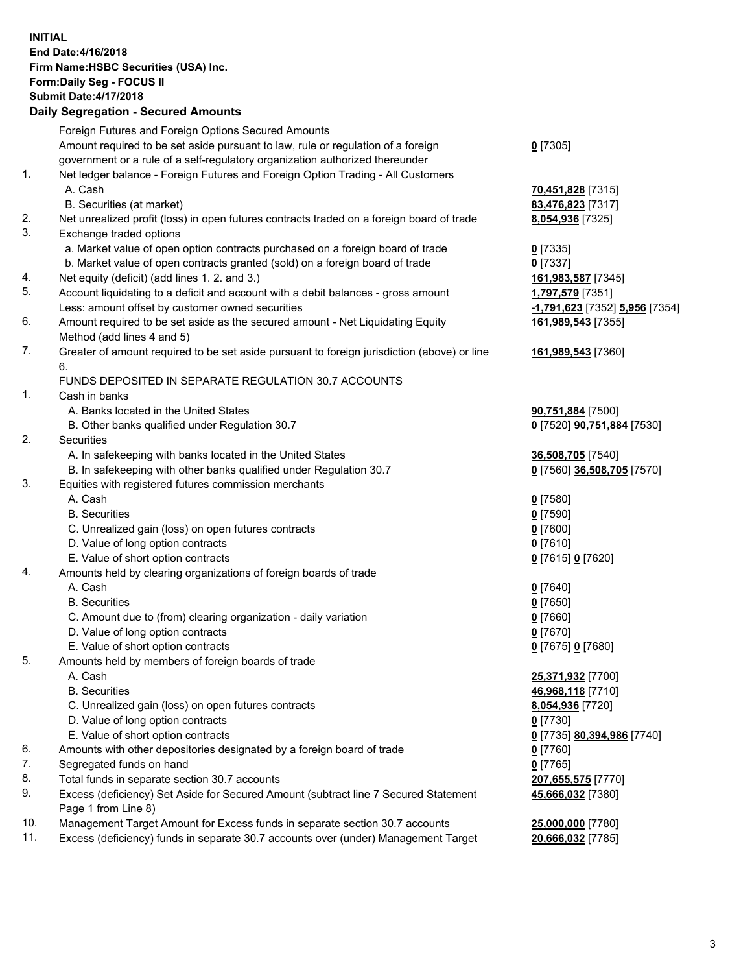**INITIAL End Date:4/16/2018 Firm Name:HSBC Securities (USA) Inc. Form:Daily Seg - FOCUS II Submit Date:4/17/2018 Daily Segregation - Secured Amounts**

Foreign Futures and Foreign Options Secured Amounts Amount required to be set aside pursuant to law, rule or regulation of a foreign government or a rule of a self-regulatory organization authorized thereunder **0** [7305] 1. Net ledger balance - Foreign Futures and Foreign Option Trading - All Customers A. Cash **70,451,828** [7315] B. Securities (at market) **83,476,823** [7317] 2. Net unrealized profit (loss) in open futures contracts traded on a foreign board of trade **8,054,936** [7325] 3. Exchange traded options a. Market value of open option contracts purchased on a foreign board of trade **0** [7335] b. Market value of open contracts granted (sold) on a foreign board of trade **0** [7337] 4. Net equity (deficit) (add lines 1. 2. and 3.) **161,983,587** [7345] 5. Account liquidating to a deficit and account with a debit balances - gross amount **1,797,579** [7351] Less: amount offset by customer owned securities **-1,791,623** [7352] **5,956** [7354] 6. Amount required to be set aside as the secured amount - Net Liquidating Equity Method (add lines 4 and 5) **161,989,543** [7355] 7. Greater of amount required to be set aside pursuant to foreign jurisdiction (above) or line 6. **161,989,543** [7360] FUNDS DEPOSITED IN SEPARATE REGULATION 30.7 ACCOUNTS 1. Cash in banks A. Banks located in the United States **90,751,884** [7500] B. Other banks qualified under Regulation 30.7 **0** [7520] **90,751,884** [7530] 2. Securities A. In safekeeping with banks located in the United States **36,508,705** [7540] B. In safekeeping with other banks qualified under Regulation 30.7 **0** [7560] **36,508,705** [7570] 3. Equities with registered futures commission merchants A. Cash **0** [7580] B. Securities **0** [7590] C. Unrealized gain (loss) on open futures contracts **0** [7600] D. Value of long option contracts **0** [7610] E. Value of short option contracts **0** [7615] **0** [7620] 4. Amounts held by clearing organizations of foreign boards of trade A. Cash **0** [7640] B. Securities **0** [7650] C. Amount due to (from) clearing organization - daily variation **0** [7660] D. Value of long option contracts **0** [7670] E. Value of short option contracts **0** [7675] **0** [7680] 5. Amounts held by members of foreign boards of trade A. Cash **25,371,932** [7700] B. Securities **46,968,118** [7710] C. Unrealized gain (loss) on open futures contracts **8,054,936** [7720] D. Value of long option contracts **0** [7730] E. Value of short option contracts **0** [7735] **80,394,986** [7740] 6. Amounts with other depositories designated by a foreign board of trade **0** [7760] 7. Segregated funds on hand **0** [7765] 8. Total funds in separate section 30.7 accounts **207,655,575** [7770] 9. Excess (deficiency) Set Aside for Secured Amount (subtract line 7 Secured Statement Page 1 from Line 8) **45,666,032** [7380] 10. Management Target Amount for Excess funds in separate section 30.7 accounts **25,000,000** [7780] 11. Excess (deficiency) funds in separate 30.7 accounts over (under) Management Target **20,666,032** [7785]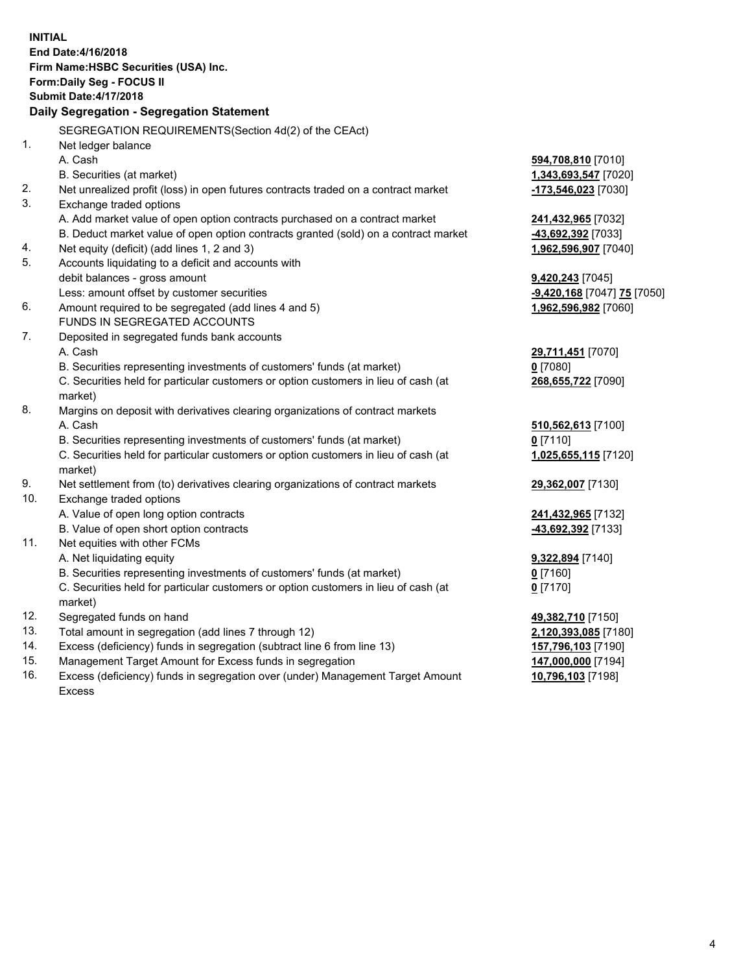**INITIAL End Date:4/16/2018 Firm Name:HSBC Securities (USA) Inc. Form:Daily Seg - FOCUS II Submit Date:4/17/2018 Daily Segregation - Segregation Statement** SEGREGATION REQUIREMENTS(Section 4d(2) of the CEAct) 1. Net ledger balance A. Cash **594,708,810** [7010] B. Securities (at market) **1,343,693,547** [7020] 2. Net unrealized profit (loss) in open futures contracts traded on a contract market **-173,546,023** [7030] 3. Exchange traded options A. Add market value of open option contracts purchased on a contract market **241,432,965** [7032] B. Deduct market value of open option contracts granted (sold) on a contract market **-43,692,392** [7033] 4. Net equity (deficit) (add lines 1, 2 and 3) **1,962,596,907** [7040] 5. Accounts liquidating to a deficit and accounts with debit balances - gross amount **9,420,243** [7045] Less: amount offset by customer securities **-9,420,168** [7047] **75** [7050] 6. Amount required to be segregated (add lines 4 and 5) **1,962,596,982** [7060] FUNDS IN SEGREGATED ACCOUNTS 7. Deposited in segregated funds bank accounts A. Cash **29,711,451** [7070] B. Securities representing investments of customers' funds (at market) **0** [7080] C. Securities held for particular customers or option customers in lieu of cash (at market) **268,655,722** [7090] 8. Margins on deposit with derivatives clearing organizations of contract markets A. Cash **510,562,613** [7100] B. Securities representing investments of customers' funds (at market) **0** [7110] C. Securities held for particular customers or option customers in lieu of cash (at market) **1,025,655,115** [7120] 9. Net settlement from (to) derivatives clearing organizations of contract markets **29,362,007** [7130] 10. Exchange traded options A. Value of open long option contracts **241,432,965** [7132] B. Value of open short option contracts **-43,692,392** [7133] 11. Net equities with other FCMs A. Net liquidating equity **9,322,894** [7140] B. Securities representing investments of customers' funds (at market) **0** [7160] C. Securities held for particular customers or option customers in lieu of cash (at market) **0** [7170] 12. Segregated funds on hand **49,382,710** [7150] 13. Total amount in segregation (add lines 7 through 12) **2,120,393,085** [7180] 14. Excess (deficiency) funds in segregation (subtract line 6 from line 13) **157,796,103** [7190] 15. Management Target Amount for Excess funds in segregation **147,000,000** [7194]

16. Excess (deficiency) funds in segregation over (under) Management Target Amount Excess

**10,796,103** [7198]